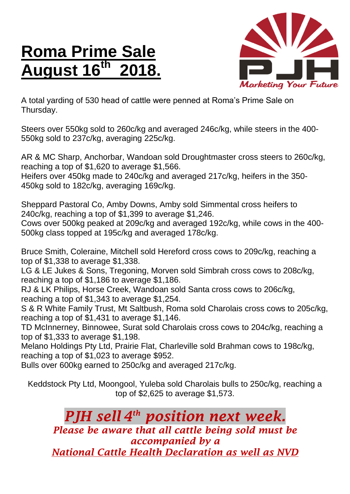## **Roma Prime Sale August 16 th 2018.**



A total yarding of 530 head of cattle were penned at Roma's Prime Sale on Thursday.

Steers over 550kg sold to 260c/kg and averaged 246c/kg, while steers in the 400- 550kg sold to 237c/kg, averaging 225c/kg.

AR & MC Sharp, Anchorbar, Wandoan sold Droughtmaster cross steers to 260c/kg, reaching a top of \$1,620 to average \$1,566.

Heifers over 450kg made to 240c/kg and averaged 217c/kg, heifers in the 350- 450kg sold to 182c/kg, averaging 169c/kg.

Sheppard Pastoral Co, Amby Downs, Amby sold Simmental cross heifers to 240c/kg, reaching a top of \$1,399 to average \$1,246.

Cows over 500kg peaked at 209c/kg and averaged 192c/kg, while cows in the 400- 500kg class topped at 195c/kg and averaged 178c/kg.

Bruce Smith, Coleraine, Mitchell sold Hereford cross cows to 209c/kg, reaching a top of \$1,338 to average \$1,338.

LG & LE Jukes & Sons, Tregoning, Morven sold Simbrah cross cows to 208c/kg, reaching a top of \$1,186 to average \$1,186.

RJ & LK Philips, Horse Creek, Wandoan sold Santa cross cows to 206c/kg, reaching a top of \$1,343 to average \$1,254.

S & R White Family Trust, Mt Saltbush, Roma sold Charolais cross cows to 205c/kg, reaching a top of \$1,431 to average \$1,146.

TD McInnerney, Binnowee, Surat sold Charolais cross cows to 204c/kg, reaching a top of \$1,333 to average \$1,198.

Melano Holdings Pty Ltd, Prairie Flat, Charleville sold Brahman cows to 198c/kg, reaching a top of \$1,023 to average \$952.

Bulls over 600kg earned to 250c/kg and averaged 217c/kg.

Keddstock Pty Ltd, Moongool, Yuleba sold Charolais bulls to 250c/kg, reaching a top of \$2,625 to average \$1,573.

*PJH sell 4 th position next week. Please be aware that all cattle being sold must be accompanied by a National Cattle Health Declaration as well as NVD*